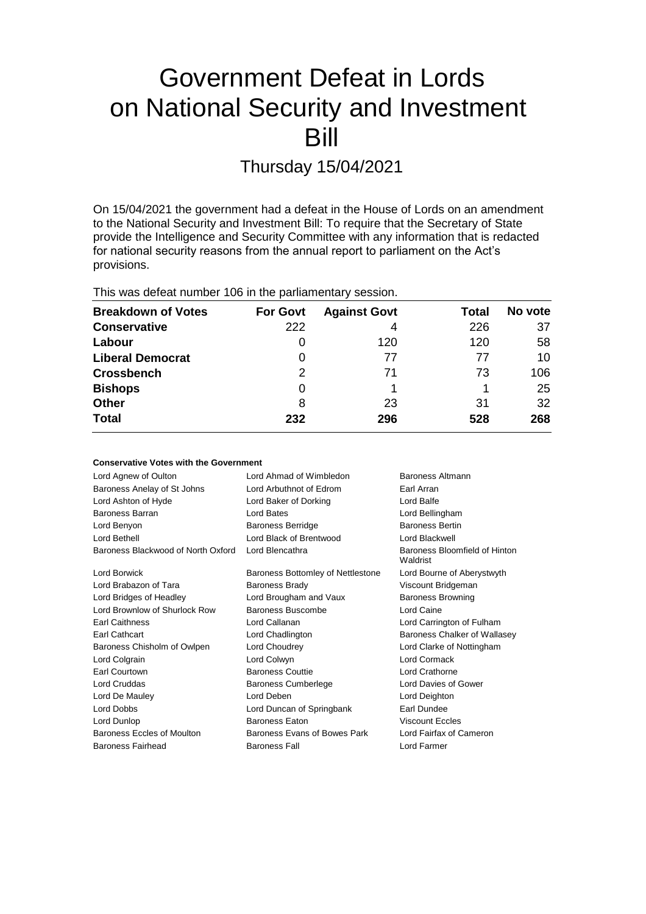# Government Defeat in Lords on National Security and Investment Bill

Thursday 15/04/2021

On 15/04/2021 the government had a defeat in the House of Lords on an amendment to the National Security and Investment Bill: To require that the Secretary of State provide the Intelligence and Security Committee with any information that is redacted for national security reasons from the annual report to parliament on the Act's provisions.

This was defeat number 106 in the parliamentary session.

| <b>Breakdown of Votes</b> | <b>For Govt</b> | <b>Against Govt</b> | Total | No vote |
|---------------------------|-----------------|---------------------|-------|---------|
| <b>Conservative</b>       | 222             | 4                   | 226   | 37      |
| Labour                    | O               | 120                 | 120   | 58      |
| <b>Liberal Democrat</b>   | 0               | 77                  | 77    | 10      |
| <b>Crossbench</b>         | 2               | 71                  | 73    | 106     |
| <b>Bishops</b>            | 0               |                     |       | 25      |
| <b>Other</b>              | 8               | 23                  | 31    | 32      |
| <b>Total</b>              | 232             | 296                 | 528   | 268     |

| <b>Conservative Votes with the Government</b>         |                                           |  |  |  |  |
|-------------------------------------------------------|-------------------------------------------|--|--|--|--|
| Lord Ahmad of Wimbledon                               | Baroness Altmann                          |  |  |  |  |
| Lord Arbuthnot of Edrom                               | Earl Arran                                |  |  |  |  |
| Lord Baker of Dorking                                 | Lord Balfe                                |  |  |  |  |
| Lord Bates                                            | Lord Bellingham                           |  |  |  |  |
| <b>Baroness Berridge</b>                              | <b>Baroness Bertin</b>                    |  |  |  |  |
| Lord Black of Brentwood                               | Lord Blackwell                            |  |  |  |  |
| Baroness Blackwood of North Oxford<br>Lord Blencathra | Baroness Bloomfield of Hinton<br>Waldrist |  |  |  |  |
| Baroness Bottomley of Nettlestone                     | Lord Bourne of Aberystwyth                |  |  |  |  |
| <b>Baroness Brady</b>                                 | Viscount Bridgeman                        |  |  |  |  |
| Lord Brougham and Vaux                                | <b>Baroness Browning</b>                  |  |  |  |  |
| Baroness Buscombe                                     | Lord Caine                                |  |  |  |  |
| Lord Callanan                                         | Lord Carrington of Fulham                 |  |  |  |  |
| Lord Chadlington                                      | Baroness Chalker of Wallasey              |  |  |  |  |
| Lord Choudrey                                         | Lord Clarke of Nottingham                 |  |  |  |  |
| Lord Colwyn                                           | Lord Cormack                              |  |  |  |  |
| <b>Baroness Couttie</b>                               | Lord Crathorne                            |  |  |  |  |
| <b>Baroness Cumberlege</b>                            | Lord Davies of Gower                      |  |  |  |  |
| Lord Deben                                            | Lord Deighton                             |  |  |  |  |
| Lord Duncan of Springbank                             | Earl Dundee                               |  |  |  |  |
| <b>Baroness Faton</b>                                 | Viscount Eccles                           |  |  |  |  |
| Baroness Evans of Bowes Park                          | Lord Fairfax of Cameron                   |  |  |  |  |
| <b>Baroness Fall</b>                                  | Lord Farmer                               |  |  |  |  |
|                                                       |                                           |  |  |  |  |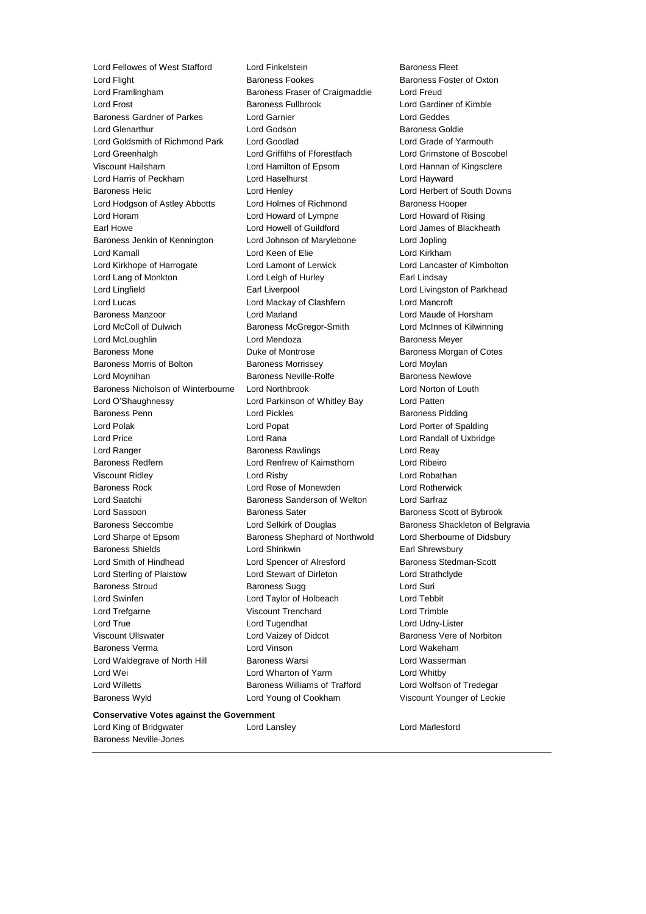Lord Flight **Baroness Fookes** Baroness Fookes Baroness Foster of Oxton Lord Framlingham Baroness Fraser of Craigmaddie Lord Freud Lord Frost Baroness Fullbrook Lord Gardiner of Kimble Baroness Gardner of Parkes Lord Garnier Lord Geddes Lord Glenarthur **Lord Godson** Baroness Goldie **Baroness** Goldie Lord Goldsmith of Richmond Park Lord Goodlad Lord Grade of Yarmouth Lord Greenhalgh Lord Griffiths of Fforestfach Lord Grimstone of Boscobel Viscount Hailsham Lord Hamilton of Epsom Lord Hannan of Kingsclere Lord Harris of Peckham Lord Haselhurst Lord Hayward Baroness Helic Lord Henley Lord Herbert of South Downs Lord Hodgson of Astley Abbotts Lord Holmes of Richmond Baroness Hooper Lord Horam Lord Howard of Lympne Lord Howard of Rising Earl Howe Lord Howell of Guildford Lord James of Blackheath Baroness Jenkin of Kennington Lord Johnson of Marylebone Lord Jopling Lord Kamall Lord Keen of Elie Lord Kirkham Lord Kirkhope of Harrogate Lord Lamont of Lerwick Lord Lancaster of Kimbolton Lord Lang of Monkton Lord Leigh of Hurley Earl Lindsay Lord Lingfield **Earl Liverpool** Earl Liverpool **Lord Livingston of Parkhead** Lord Lucas Lord Mackay of Clashfern Lord Mancroft Baroness Manzoor Lord Marland Lord Maude of Horsham Lord McColl of Dulwich Baroness McGregor-Smith Lord McInnes of Kilwinning Lord McLoughlin **Communist Construction Construction** Lord Mendoza **Baroness Meyer** Baroness Mone **Baroness Montrose** Baroness Morgan of Cotes Baroness Morris of Bolton **Baroness Morrissey Baroness Morrissey** Lord Moylan Lord Moynihan **Baroness Neville-Rolfe** Baroness Newlove Baroness Nicholson of Winterbourne Lord Northbrook Lord Norton of Louth Lord O'Shaughnessy Lord Parkinson of Whitley Bay Lord Patten Baroness Penn **Connect Connect Connect Connect Connect Connect Connect Connect Connect Connect Connect Connect Connect Connect Connect Connect Connect Connect Connect Connect Connect Connect Connect Connect Connect Connect** Lord Polak Lord Popat Lord Porter of Spalding Lord Price Lord Rana Lord Randall of Uxbridge Lord Ranger **Baroness Rawlings** Lord Reay Baroness Redfern Lord Renfrew of Kaimsthorn Lord Ribeiro Viscount Ridley Lord Risby Lord Robathan Baroness Rock Lord Rose of Monewden Lord Rotherwick Lord Saatchi **Baroness Sanderson of Welton** Lord Sarfraz Lord Sassoon **Baroness Sater** Baroness Scott of Bybrook Baroness Seccombe **Lord Selkirk of Douglas** Baroness Shackleton of Belgravia Lord Sharpe of Epsom Baroness Shephard of Northwold Lord Sherbourne of Didsbury Baroness Shields **Lord Shinkwin** Earl Shrewsbury Lord Smith of Hindhead **Lord Spencer of Alresford** Baroness Stedman-Scott Lord Sterling of Plaistow Lord Stewart of Dirleton Lord Strathclyde Baroness Stroud **Baroness Sugg Community** Baroness Sugg Lord Suri Lord Swinfen Lord Taylor of Holbeach Lord Tebbit Lord Trefgarne Viscount Trenchard Lord Trimble Lord True Lord Tugendhat Lord Udny-Lister Viscount Ullswater Lord Vaizey of Didcot Baroness Vere of Norbiton Baroness Verma Lord Vinson Lord Wakeham Lord Waldegrave of North Hill Baroness Warsi **Lord Wasserman** Lord Wei Lord Wharton of Yarm Lord Whitby Lord Willetts **Baroness Williams of Trafford** Lord Wolfson of Tredegar Baroness Wyld Lord Young of Cookham Viscount Younger of Leckie

Lord Fellowes of West Stafford Lord Finkelstein **Baroness Fleet** 

#### **Conservative Votes against the Government**

Lord King of Bridgwater Lord Lansley Lord Marlesford Baroness Neville-Jones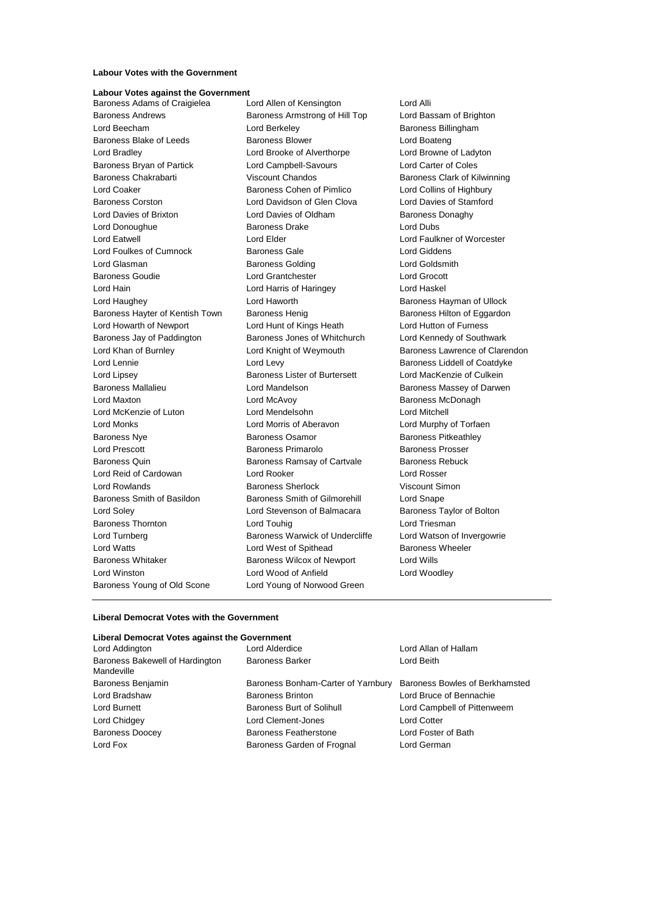#### **Labour Votes with the Government**

## **Labour Votes against the Government**

Baroness Adams of Craigielea Lord Allen of Kensington Lord Alli Baroness Andrews Baroness Armstrong of Hill Top Lord Bassam of Brighton Lord Beecham **Lord Berkeley Baroness Billingham** Baroness Blake of Leeds **Baroness Blower** Baroness Blower **Lord Boateng** Lord Bradley Lord Brooke of Alverthorpe Lord Browne of Ladyton Baroness Bryan of Partick Lord Campbell-Savours Lord Carter of Coles Baroness Chakrabarti Viscount Chandos Baroness Clark of Kilwinning Lord Coaker Baroness Cohen of Pimlico Lord Collins of Highbury Baroness Corston Lord Davidson of Glen Clova Lord Davies of Stamford Lord Davies of Brixton **Lord Davies of Oldham** Baroness Donaghy Lord Donoughue **Baroness Drake** Lord Dubs **Lord Dubs** Lord Eatwell Lord Elder Lord Faulkner of Worcester Lord Foulkes of Cumnock Baroness Gale Corresponding Lord Giddens Lord Glasman **Baroness Golding Community** Lord Goldsmith Baroness Goudie Lord Grantchester Lord Grocott Lord Hain Lord Harris of Haringey Lord Haskel Lord Haughey **Lord Haworth Baroness Hayman of Ullock Baroness Hayman of Ullock** Baroness Hayter of Kentish Town Baroness Henig Baroness Hilton of Eggardon Lord Howarth of Newport Lord Hunt of Kings Heath Lord Hutton of Furness Baroness Jay of Paddington Baroness Jones of Whitchurch Lord Kennedy of Southwark Lord Khan of Burnley **Lord Knight of Weymouth** Baroness Lawrence of Clarendon Lord Lennie **Lord Levy** Lord Levy **Baroness Liddell of Coatdyke** Lord Lipsey **Baroness Lister of Burtersett** Lord MacKenzie of Culkein Baroness Mallalieu **Baroness Mallalieu** Lord Mandelson **Baroness Massey of Darwen** Lord Maxton Lord McAvoy Baroness McDonagh Lord McKenzie of Luton Lord Mendelsohn Lord Mitchell Lord Monks Lord Morris of Aberavon Lord Murphy of Torfaen Baroness Nye **Baroness Osamor** Baroness Osamor **Baroness Pitkeathley** Lord Prescott Baroness Primarolo Baroness Prosser Baroness Quin **Baroness Ramsay of Cartvale** Baroness Rebuck Lord Reid of Cardowan Lord Rooker Lord Rosser Lord Rowlands Baroness Sherlock Viscount Simon Baroness Smith of Basildon Baroness Smith of Gilmorehill Lord Snape Lord Soley Lord Stevenson of Balmacara Baroness Taylor of Bolton Baroness Thornton **Lord Touhig Lord Triesman** Lord Triesman Lord Turnberg **Baroness Warwick of Undercliffe** Lord Watson of Invergowrie Lord Watts Lord West of Spithead Baroness Wheeler Baroness Whitaker **Baroness Wilcox of Newport** Lord Wills Lord Winston Lord Wood of Anfield Lord Woodley Baroness Young of Old Scone Lord Young of Norwood Green

#### **Liberal Democrat Votes with the Government**

#### **Liberal Democrat Votes against the Government**

| Lord Alderdice                                                    | Lord Allan of Hallam        |
|-------------------------------------------------------------------|-----------------------------|
| <b>Baroness Barker</b>                                            | Lord Beith                  |
| Baroness Bonham-Carter of Yarnbury Baroness Bowles of Berkhamsted |                             |
| <b>Baroness Brinton</b>                                           | Lord Bruce of Bennachie     |
| Baroness Burt of Solihull                                         | Lord Campbell of Pittenweem |
| Lord Clement-Jones                                                | <b>Lord Cotter</b>          |
| <b>Baroness Featherstone</b>                                      | Lord Foster of Bath         |
| Baroness Garden of Frognal                                        | Lord German                 |
|                                                                   |                             |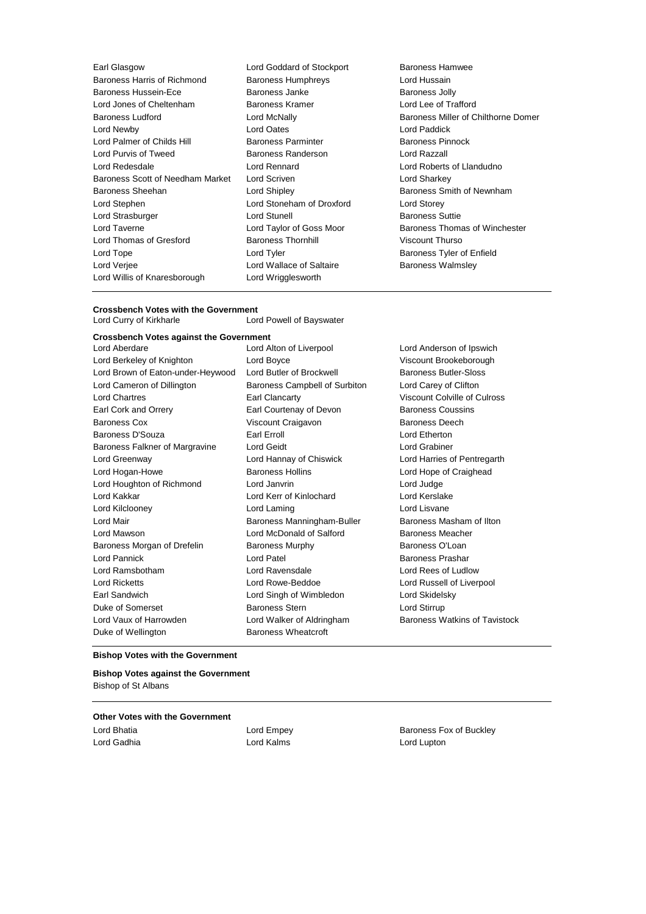Earl Glasgow Lord Goddard of Stockport Baroness Hamwee Baroness Harris of Richmond Baroness Humphreys **Baroness Humphreys** Lord Hussain Baroness Hussein-Ece Baroness Janke Baroness Jolly Lord Jones of Cheltenham Baroness Kramer Lord Lee of Trafford Baroness Ludford Lord McNally Baroness Miller of Chilthorne Domer Lord Newby Lord Oates Lord Paddick Lord Palmer of Childs Hill **Baroness Parminter** Baroness Parminter Baroness Pinnock Lord Purvis of Tweed Baroness Randerson Lord Razzall Lord Redesdale Lord Rennard Lord Roberts of Llandudno Baroness Scott of Needham Market Lord Scriven Lord Sharkey Lord Sharkey Baroness Sheehan **Baroness Sheehan** Lord Shipley **Baroness Smith of Newnham** Lord Stephen Lord Stoneham of Droxford Lord Storey Lord Strasburger Lord Stunell Baroness Suttie Lord Taverne **Lord Taylor of Goss Moor** Baroness Thomas of Winchester Lord Thomas of Gresford Baroness Thornhill Viscount Thurso Lord Tope **Lord Tyler Lord Tyler Baroness Tyler of Enfield** Lord Verjee Lord Wallace of Saltaire Baroness Walmsley Lord Willis of Knaresborough Lord Wrigglesworth

### **Crossbench Votes with the Government**<br>Lord Curry of Kirkharle Lor Lord Powell of Bayswater

**Crossbench Votes against the Government** Lord Aberdare Lord Alton of Liverpool Lord Anderson of Ipswich

Lord Berkeley of Knighton **Lord Boyce Communist Communist Communist Communist Communist Communist Communist Communist Communist Communist Communist Communist Communist Communist Communist Communist Communist Communist Co** Lord Brown of Eaton-under-Heywood Lord Butler of Brockwell Baroness Butler-Sloss Lord Cameron of Dillington Baroness Campbell of Surbiton Lord Carey of Clifton Lord Chartres Earl Clancarty Viscount Colville of Culross Earl Cork and Orrery **Earl Courtenay of Devon** Baroness Coussins Baroness Cox **Viscount Craigavon Baroness Deech** Baroness D'Souza **Earl Example Earl Erroll** Earl Erroll Lord Etherton Baroness Falkner of Margravine Lord Geidt Lord Grabiner Lord Greenway Lord Hannay of Chiswick Lord Harries of Pentregarth Lord Hogan-Howe **Baroness Hollins** Lord Hope of Craighead Lord Hope of Craighead Lord Houghton of Richmond Lord Janvrin Lord Judge Lord Kakkar Lord Kerr of Kinlochard Lord Kerslake Lord Kilclooney Lord Laming Lord Lisvane Lord Mair **Baroness Manningham-Buller** Baroness Masham of Ilton Lord Mawson **Lord McDonald of Salford** Baroness Meacher Baroness Morgan of Drefelin Baroness Murphy Baroness O'Loan Lord Pannick **Lord Patel** Lord Patel **Baroness Prashar** Lord Ramsbotham Lord Ravensdale Lord Rees of Ludlow Lord Ricketts Lord Rowe-Beddoe Lord Russell of Liverpool Earl Sandwich Lord Singh of Wimbledon Lord Skidelsky Duke of Somerset Baroness Stern Lord Stirrup Lord Vaux of Harrowden Lord Walker of Aldringham Baroness Watkins of Tavistock Duke of Wellington **Baroness Wheatcroft** 

#### **Bishop Votes with the Government**

**Bishop Votes against the Government** Bishop of St Albans

#### **Other Votes with the Government**

Lord Gadhia Lord Kalms Lord Lupton

Lord Bhatia **Lord Empey Lord Empey Baroness Fox of Buckley**